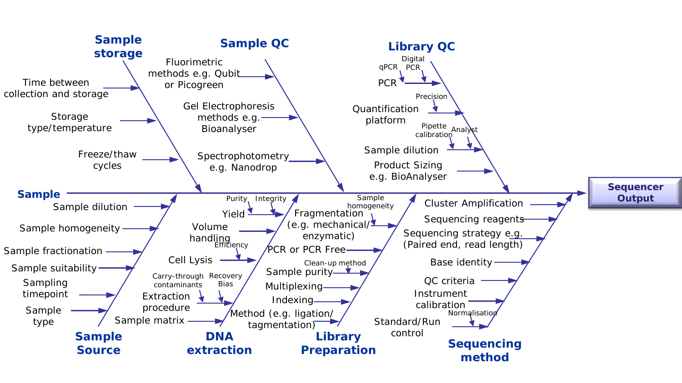